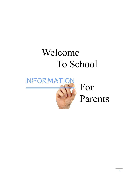# Welcome To School

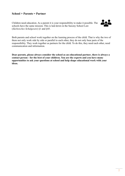#### **School + Parents = Partner**

Children need education. As a parent it is your responsibility to make it possible. The schools have the same mission. This is laid down in the Saxony School Law (*Sächsisches Schulgesetz*) §1 and §45.



Both parents and school work together on the learning process of the child. That is why the two of them not only work side by side or parallel to each other, they do not only bear parts of the responsibility. They work together as partners for the child. To do this, they need each other, need communication and information.

**Dear parents, please always consider the school as an educational partner, there is always a contact person - for the best of your children. You are the experts and you have many opportunities to ask your questions at school and help shape educational work with your ideas.**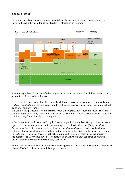#### **School System**

Germany consists of 16 federal states. Each federal state organizes school education itself. In Saxony, the school system for basic education is structured as follows:



The primary school (*Grundschule*) lasts 4 years from 1st to 4th grade. The children attend primary school from the age of 6 or 7 years.

At the end of primary school, in 4th grade, the children receive the educational recommendation (*Bildungsempfehlung*). This is a suggestion from the class teacher which school the children should go to after primary school.

If a child learns particularly well in primary school, the *Gymnasium* is recommended. There the children continue to study from 5th to 12th grade. Usually *Oberschule* is recommended. There the children study from 5th to 9th or 10th grade.

After *Oberschule*, students are still required to attend professional school (*Berufsschule*) up to the age of 18. You can do apprenticeship (*Ausbildung*) at a professional school (*Berufsschule* or *Berufsfachschule*). It is also possible to attend a *Fachoberschule* (degree: advanced technical college entrance qualification, for studying at the technical college) or a professional high school (*berufliches Gymnasium*) (degree: high school diploma (*Abitur*), for studying at the university). If the pupils at the *Oberschule* have not yet achieved a qualification, they can catch up on their qualification in a professional preparatory year (*BVJ*).

Pupils with little knowledge of German start learning German in all types of school in a preparatory class (*VKA*) before they can attend the regular classes.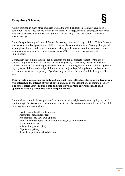## **Compulsory Schooling**

As it is common in many other countries around the world, children in Germany have to go to school for 9 years. They have to attend daily classes in all subjects and all binding school events. This is also prescribed by the Saxonia School Law §26 and §31 and the School Attendance Regulations §1.

Compulsory schooling makes no difference between german and foreign children. This is the only way to secure a school place for all children because the administration itself is obliged to provide school places for all children and adolescents. Many people have worked for many years to make school compulsory for everyone in Saxony - since 2005 it has finally been successfully implemented.

Compulsory schooling is the same for all children and for all subjects (except for the choice between religion and ethics or between different languages). This clearly means that creative subjects (music, art) as well as physical education and swimming lessons for all children - girls and boys, german children and foreign children - and all project days, hiking days and school trips as well as homework are compulsory. If you have any questions, the school will be happy to talk to you.

**Dear parents, please secure the daily and punctual school attendance for your children in your own interest, in the interest of your children and also in the interest of our common society. The school offers your children a safe and supportive learning environment and is an opportunity and a prerequisite for an independent life.**

Children have not only the obligation of education, but also a right to education (going to school and training). This is enshrined in children's rights in the UN Convention on the Rights of the Child. Other rights of children include:

- Health (living healthy, not suffering)
- Relaxation (play, experience)
- Participation (say your own opinion)
- Non-violent upbringing (live without violence, also in the family)
- Protection from war
- Information (get and give)
- Dignity and privacy
- Special support for disabled children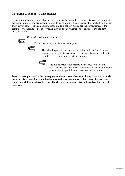#### **Not going to school – Consequences!**

If your children do not go to school or are permanently late and you as parents have not informed the school about it, you are violating compulsory schooling. The presence of all students is checked every day at school. The compulsory schooling is in the law and so are the consequences if the compulsory schooling is not observed. If there is no improvement after one measure, the next measure follows.

The teacher talks to the student.

The school management contacts the parents.



The school reports the absence to the public order office. A fine is imposed on the parents as a penalty. If the parents cannot or do not want to pay the fine, they have to work hours.



The public order office reports the absence to the youth welfare office because the child's welfare is endangered by the parents. Family participation measures can be set up.

**Dear parents, please take the consequences of unexcused absence or being late very seriously, because it is recorded on the school report and always remains visible. Long absences can cause your children to have to repeat the class. It is also expensive and involves bureaucratic processes**.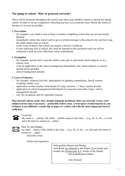#### **Not going to school - How to proceed correctly!**

There will be moments throughout the school year when your children cannot or should not attend school. In order to secure compulsory schooling anyway, you as parents must inform the school in advance or as soon as possible:

#### **1. Prevention**

- for example: your child is sick or there is another compelling reason that was not previously planned
- immediately inform the school (call or give a written message to the school) why and how long the child cannot come to school
- in the event of illness, the school can request a doctor's certificate
- if your child gets sick at school, this must be reported to the secretariat and you will be contacted to pick up your child from school immediately

#### **2. Exemption**

- for example: parents don't want the child to take part in individual school subjects or in a school event
- write an application to the school management beforehand, why which subjects or courses should not be attended
- school management decides

#### **3. Leave of absence**

- for example: religious festivals, participation in sporting competitions, family reasons (wedding, death), cure
- application to class teachers beforehand if it only concerns 1-2 days; teacher decides
- application to school management beforehand if it concerns more than 2 days; school management decides
- only for exceptions and for important reasons!

**Dear parents, please make sure, despite language problems, that you correctly excuse your children from class if necessary - preferably before class. A brief piece of information in case of illness is not difficult; a small slip of paper or a short call with the most important facts is sufficient:**



#### Good day!

My name is ... (name). My child ... (child's name) in the class ... (e.g. 2b, 5c, 8a ...) is sick and will return to school on ... (date).



Dear Sir and Madam,

my child ... (name of the child) in the class ... (e.g. 2b, 5c, 8a ...) is sick and will return to school on ... (date).

Sincerely yours

(Name and signature)

Sehr geehrte Damen und Herren, mein Kind *Aya Hamidi* in der Klasse *2b* ist krank und kommt am *Donnerstag, 6.9.* wieder in die Schule. Mit freundlichen Grüßen

*Amir Hamidi*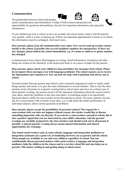#### **Communication**







The partnership between school and parents

needs communication and information. It helps if both (school and parents) are approachable for questions and problems, but also for important information and especially emergencies.

If your children get sick at school or have an accident, the school needs contact with the parents very quickly, when it comes to picking up. If there are important appointments at home or at school, this information must be exchanged. And much more…

**Dear parents, please keep all communication ways open. Give correct and up-to-date contact details to the school, if possible also several telephone numbers for emergencies. If there are any changes, please inform the school immediately, e.g. if a name or address or phone number has changed.**

Communication from school often happens in writing. Small information, invitations and other things are written in the *Muttiheft*, in the homework book or on a piece of paper for the parents.

**Dear parents, please check your children's bag and folders for messages from school. Please do not ignore these messages even with language problems! The school expects you to receive the information and respond to it. You can look for help with translation and always ask at school.**

Personal contact between parents and school is also extremely important in order to clarify small things quickly and easily or to give the same information to several families. That is why the class teachers invite all parents to a parents' evening before school starts and twice in a school year. In these parents' evenings, the parents receive all the important information about the current school year, dates, materials, problems in the class and others. If something needs to be specifically discussed about a child, the class teacher invites the parents to school. Of course, parents can also ask for a conversation with a teacher at any time, e.g. to talk about the child's performance in individual subjects, about current questions or problems.

**Dear parents, please accept the possibilities of personal contact! The request for a conversation with you does not happen without reason, the teacher would like to discuss something important with you directly. If you ask for a conversation yourself at school, this is also a positive signal that you are interested in your child's education. And the parents' evenings are carefully prepared by the class teachers and should reach out to all parents if possible. A missed parents' evening always means missed information and missed opportunities for exchange.**

**The school social workers and, in some schools, language and integration mediators or integration assistants are a good way of mediating between you as parents and the school. These people are available to you and your children regardless of school. You can confidentially discuss personal matters with social workers. Language and integration mediators help the children in the classes and in everyday school life and also help you as parents. This makes settling in and getting along at school easier.**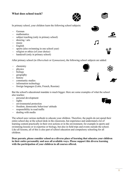#### **What does school teach?**





In primary school, your children learn the following school subjects:

- German
- mathematics
- subject teaching (only in primary school)
- drawing / arts
- music
- English
- sports (also swimming in one school year)
- religion or ethics (of your choice)
- handcraft (only in primary school)

After primary school (in *Oberschule* or *Gymnasium*), the following school subjects are added:

- chemistry
- physics
- biology
- geography
- history
- community studies
- information technology
- foreign languages (Latin, French, Russian)

But the school's educational mandate is much bigger. Here are some examples of what the school also teaches:

- personal development
- rights
- environmental protection
- freedom, democratic behaviour/ attitude
- responsibility in road traffic
- dealing with media

The school uses various methods to educate your children. Therefore, the pupils do not spend their entire school day at the school desk in the classroom, but experience and understand a lot of learning content practically in their own actions or in the environment, for example in sports and swimming lessons or in expertise or biology, but also in field trips and events outside the school. Like all lessons, all of this is also part of school education and compulsory schooling for all children.

**Dear parents, please consider school as a diverse place of learning that educates your children in their entire personality and uses all available ways. Please support this diverse learning with the participation of your children in all courses offered.**



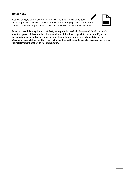#### **Homework**

Just like going to school every day, homework is a duty, it has to be done by the pupils and is checked in class. Homework should prepare or train learning content from class. Pupils should write their homework in the homework book.



 $\boldsymbol{r}$ 

**Dear parents, it is very important that you regularly check the homework book and make sure that your children do their homework carefully. Please speak to the school if you have any questions or problems. You are also welcome to use homework help or tutoring, in Chemnitz some clubs offer this free of charge. There, the pupils can also prepare for tests or rework lessons that they do not understand.**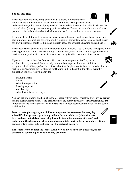#### **School supplies**

The school conveys the learning content in all subjects in different ways and with different materials. In order for your children to learn, participate and understand everything at school, they need all the materials. The school usually distributes the textbooks itself, but e.g. parents must pay for workbooks. Before the start of each school year, parents receive information about which materials will be needed in the next school year.

It starts with small things like: exercise books, pens, rulers and much more. Bigger things are also important: a school bag for every child, slippers (in elementary school), paints and brushes for drawing lessons, sports clothing and the right shoes for physical education and and and ...

The school cannot buy and pay for the materials for all students. You as parents are responsible for ensuring that your child 1. has everything, 2. brings everything to school at the right time and in good condition, and 3. also retains its own materials by labeling them with their names.

If you receive social benefits from an office (Jobcenter, employment office, social welfare office ...) and need financial help to buy school supplies for your child, there is an option called *Bildungspaket*. To get this, submit an "application for benefits for education and participation" ("Antrag auf Leistungen für Bildung und Teilhabe") in the office. With this application you will receive money for

- school material
- lunch
- school transportation
- learning support
- one day trips
- school trips for several days

You can get information and help at school, especially from school social workers, advice centers and the social welfare office. If the application for the money is positive, further formalities are important for the further process. Then please speak to your social welfare office and the school social worker.

**Dear parents, please give your children comprehensive resources for everyday school life. This prevents practical problems for your children (when students have to share materials or something has to be found for someone at school) and exclusion in the classroom (when students cannot take part in the tasks and activities or even an entire school subject because of the material missing).**

**Please feel free to contact the school social worker if you have any questions, do not understand something or want to clarify problems.**











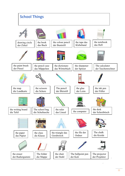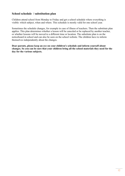#### **School schedule / substitution plan**

Children attend school from Monday to Friday and get a school schedule where everything is visible: which subject, when and where. This schedule is mostly valid for one school year.

Sometimes the schedule changes, for example in case of illness of teachers. Then the substitute plan applies. This plan determines whether a lesson will be canceled or be replaced by another teacher, or whether lessons will be moved to a different time or location. The substitute plan is on the noticeboard in school and can also be seen on the school website. The children have to inform themselves independently about the changes.

**Dear parents, please keep an eye on your children's schedule and inform yourself about changes. So you can be sure that your children bring all the school materials they need for the day for the various subjects.**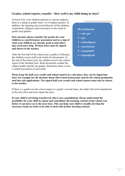#### **Grades, school reports, transfer - How well is my child doing in class?**

To know how your children perform in various subjects, there is a rating in grades from 1 to 6 (subject grades). In addition, the learning and social behavior of the children, cooperation, diligence and correctness is also rated in grades (top grades).

**Dear parents, please consider the grades for your children as a performance assessment and as a sign of what your children are already good at and where they need more help. Written notes must be signed and shown to the teacher.**

After the first half of the school year, usually in February, the children receive half-year results for the parents. At the end of the school year, the children receive the school report of the finished class. Both documents contain the subject grades and the top grades. Sometimes there is also a verbal assessment of each child.

**Die Schulnoten:**

- **1 = sehr gut**
- $2 = \text{gut}$
- **3 = befriedigend**
- **4 = ausreichend**
- **5 = mangelhaft**
- **6 = ungenügend**

**Please keep the half-year results and school reports in a safe place, they can be important later, for example for the decision about** *Oberschule/Gymnasium* **and for the school graduation and later job applications. The signed half-year results and school reports must also be shown to the teacher.**

If there is a grade 6 on the school report or a grade 5 several times, the child will not be transferred to the next class and must repeat the class.

**If your child is not being transferred, this is not a punishment. Please understand the possibility for your child to repeat and consolidate the learning content of the school year before it can move on to the next class. This can help your child to steadily develop the necessary basics in order to be able to deal with further learning content.**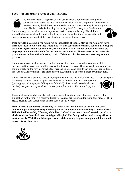### **Food - an important aspect of daily learning**



The children spend a large part of their day at school. For physical strength and concentration in class, the food and drink at school are very important. In the breaks between lessons, the children are allowed to eat and drink what they have brought from home. The best basis for learning is a healthy breakfast every day. Sandwiches,

fruits and vegetables and water, tea or juice are varied, tasty and healthy. The children should be fed up with healthy food rather than sugar or fat and salt, e.g. cola or other soft drinks, chips etc. because that destroys the ability to concentrate in class.

**Dear parents, please help your children to eat healthy at school. Maybe your children have their own ideas about what they would like to eat in school for breakfast. You can also prepare breakfast together with your children, which is often a lot of fun for children. Please avoid inappropriate, unhealthy foods for the sake of your children. The teachers in the school also pay attention to the children's eating habits. If the diet is inadequate, teachers may contact parents.**

Children can have lunch in school. For this purpose, the parents conclude a contract with the provider and they receive a monthly invoice for the meals ordered. There is usually a menu for the coming weeks on the provider's website. There the children and parents can choose or cancel lunch for each day. Different dishes are often offered, e.g. with meat or without meat or without pork.

If you receive social benefits (Jobcenter, employment office, social welfare office ...), you can apply

for money for lunch in the "Application for benefits for education and participation" ("*Antrag auf Leistungen für Bildung und Teilhabe*"). Small snacks (sandwiches or the like) that you can buy at a kiosk are not part of lunch, the office doesn't pay for that.

The school social worker can also help you manage the order or apply for lunch money. If the application for the money is positive, further formalities are important for the further process. Then please speak to your social office and the school social worker.

**Dear parents, a school day can be long. Without a hot lunch, it can be difficult for your children to get through the day. Ordering lunch from a provider is certainly a matter of trust. Will the food be healthy? Does my child like it? Can I trust that it doesn't contain pork? Are all the contents described that can trigger allergies? The food providers make every effort to meet all needs. With financial support, your children can get a good enough lunch for a small price. It is worth trying.**



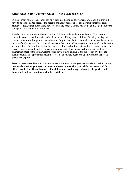#### **After-school care / daycare center - when school is over**

In the primary school, the school day only lasts until noon or early afternoon. Many children still have to be looked after because the parents are not at home. There is a daycare center for each primary school, either in the same house or near the school. There, children can play, do homework and spend time before and after class.

The day care center does not belong to school, it is an independent organization. The parents conclude a contract with the after-school care center if they want childcare. Visiting the day care center costs money, but parents can submit an "application for the parental contribution for day care facilities" ("*Antrag auf Übernahme des Elternbeitrages für Kindertageseinrichtungen*") to the youth welfare office. The youth welfare office can pay all or part of the costs for the day care center if the parents receive social benefits (Jobcenter, employment office, social welfare office ...). The financial support of the youth welfare office always lasts as long as the approval period for the social benefits. The application must therefore be submitted again and again when the approval period has expired.

**Dear parents, attending the day care center is voluntary and you can decide according to your own needs whether you need and want someone to look after your children before and / or after class. In the after-school care, the children are under supervision, get help with their homework and have contact with other children.**